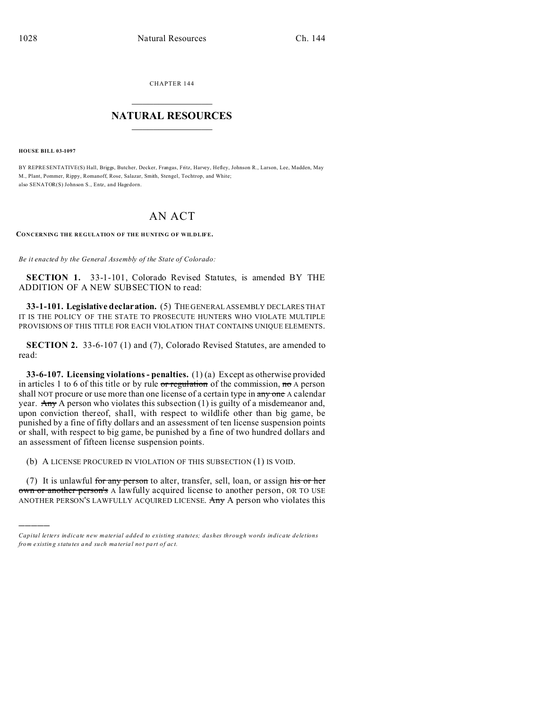CHAPTER 144  $\overline{\phantom{a}}$  , where  $\overline{\phantom{a}}$ 

## **NATURAL RESOURCES**  $\frac{1}{\sqrt{2}}$  ,  $\frac{1}{\sqrt{2}}$  ,  $\frac{1}{\sqrt{2}}$  ,  $\frac{1}{\sqrt{2}}$  ,  $\frac{1}{\sqrt{2}}$  ,  $\frac{1}{\sqrt{2}}$

**HOUSE BILL 03-1097**

)))))

BY REPRESENTATIVE(S) Hall, Briggs, Butcher, Decker, Frangas, Fritz, Harvey, Hefley, Johnson R., Larson, Lee, Madden, May M., Plant, Pommer, Rippy, Romanoff, Rose, Salazar, Smith, Stengel, Tochtrop, and White; also SENATOR(S) Johnson S., Entz, and Hagedorn.

## AN ACT

**CONCERNING THE REGULATION OF THE HUNTING OF WILDLIFE.**

*Be it enacted by the General Assembly of the State of Colorado:*

**SECTION 1.** 33-1-101, Colorado Revised Statutes, is amended BY THE ADDITION OF A NEW SUBSECTION to read:

**33-1-101. Legislative declaration.** (5) THE GENERAL ASSEMBLY DECLARES THAT IT IS THE POLICY OF THE STATE TO PROSECUTE HUNTERS WHO VIOLATE MULTIPLE PROVISIONS OF THIS TITLE FOR EACH VIOLATION THAT CONTAINS UNIQUE ELEMENTS.

**SECTION 2.** 33-6-107 (1) and (7), Colorado Revised Statutes, are amended to read:

**33-6-107. Licensing violations - penalties.** (1) (a) Except as otherwise provided in articles 1 to 6 of this title or by rule  $\sigma r$  regulation of the commission,  $m \sigma A$  person shall NOT procure or use more than one license of a certain type in any one A calendar year. Any A person who violates this subsection  $(1)$  is guilty of a misdemeanor and, upon conviction thereof, shall, with respect to wildlife other than big game, be punished by a fine of fifty dollars and an assessment of ten license suspension points or shall, with respect to big game, be punished by a fine of two hundred dollars and an assessment of fifteen license suspension points.

(b) A LICENSE PROCURED IN VIOLATION OF THIS SUBSECTION (1) IS VOID.

(7) It is unlawful for any person to alter, transfer, sell, loan, or assign his or her own or another person's A lawfully acquired license to another person, OR TO USE ANOTHER PERSON'S LAWFULLY ACQUIRED LICENSE. Any A person who violates this

*Capital letters indicate new material added to existing statutes; dashes through words indicate deletions from e xistin g statu tes a nd such ma teria l no t pa rt of ac t.*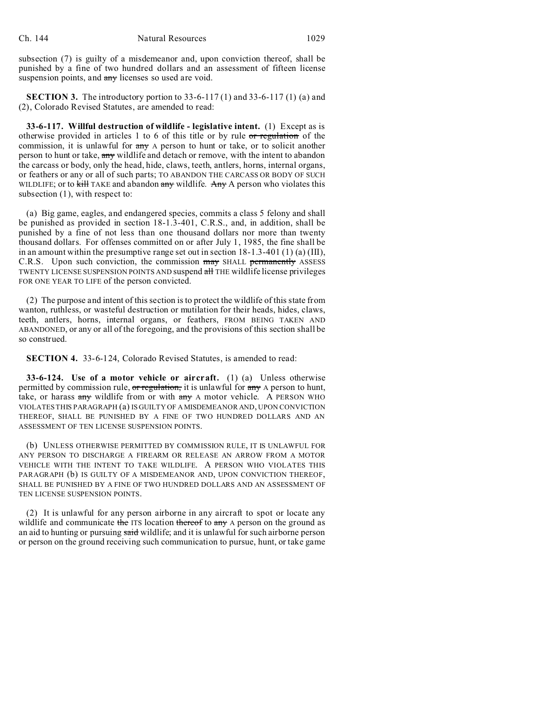subsection (7) is guilty of a misdemeanor and, upon conviction thereof, shall be punished by a fine of two hundred dollars and an assessment of fifteen license suspension points, and any licenses so used are void.

**SECTION 3.** The introductory portion to 33-6-117 (1) and 33-6-117 (1) (a) and (2), Colorado Revised Statutes, are amended to read:

**33-6-117. Willful destruction of wildlife - legislative intent.** (1) Except as is otherwise provided in articles 1 to 6 of this title or by rule or regulation of the commission, it is unlawful for any A person to hunt or take, or to solicit another person to hunt or take, any wildlife and detach or remove, with the intent to abandon the carcass or body, only the head, hide, claws, teeth, antlers, horns, internal organs, or feathers or any or all of such parts; TO ABANDON THE CARCASS OR BODY OF SUCH WILDLIFE; or to  $\frac{1}{k+1}$  TAKE and abandon any wildlife. Any A person who violates this subsection (1), with respect to:

(a) Big game, eagles, and endangered species, commits a class 5 felony and shall be punished as provided in section 18-1.3-401, C.R.S., and, in addition, shall be punished by a fine of not less than one thousand dollars nor more than twenty thousand dollars. For offenses committed on or after July 1, 1985, the fine shall be in an amount within the presumptive range set out in section  $18-1.3-401(1)$  (a) (III), C.R.S. Upon such conviction, the commission may SHALL permanently ASSESS TWENTY LICENSE SUSPENSION POINTS AND suspend all THE wildlife license privileges FOR ONE YEAR TO LIFE of the person convicted.

(2) The purpose and intent of this section is to protect the wildlife of this state from wanton, ruthless, or wasteful destruction or mutilation for their heads, hides, claws, teeth, antlers, horns, internal organs, or feathers, FROM BEING TAKEN AND ABANDONED, or any or all of the foregoing, and the provisions of this section shall be so construed.

**SECTION 4.** 33-6-124, Colorado Revised Statutes, is amended to read:

**33-6-124. Use of a motor vehicle or aircraft.** (1) (a) Unless otherwise permitted by commission rule,  $\sigma r$  regulation, it is unlawful for any A person to hunt, take, or harass  $\frac{a}{(m+1)}$  wildlife from or with  $\frac{a}{(m+1)}$  A motor vehicle. A PERSON WHO VIOLATES THIS PARAGRAPH (a) IS GUILTY OF A MISDEMEANOR AND, UPON CONVICTION THEREOF, SHALL BE PUNISHED BY A FINE OF TWO HUNDRED DOLLARS AND AN ASSESSMENT OF TEN LICENSE SUSPENSION POINTS.

(b) UNLESS OTHERWISE PERMITTED BY COMMISSION RULE, IT IS UNLAWFUL FOR ANY PERSON TO DISCHARGE A FIREARM OR RELEASE AN ARROW FROM A MOTOR VEHICLE WITH THE INTENT TO TAKE WILDLIFE. A PERSON WHO VIOLATES THIS PARAGRAPH (b) IS GUILTY OF A MISDEMEANOR AND, UPON CONVICTION THEREOF, SHALL BE PUNISHED BY A FINE OF TWO HUNDRED DOLLARS AND AN ASSESSMENT OF TEN LICENSE SUSPENSION POINTS.

(2) It is unlawful for any person airborne in any aircraft to spot or locate any wildlife and communicate the ITS location thereof to any A person on the ground as an aid to hunting or pursuing said wildlife; and it is unlawful for such airborne person or person on the ground receiving such communication to pursue, hunt, or take game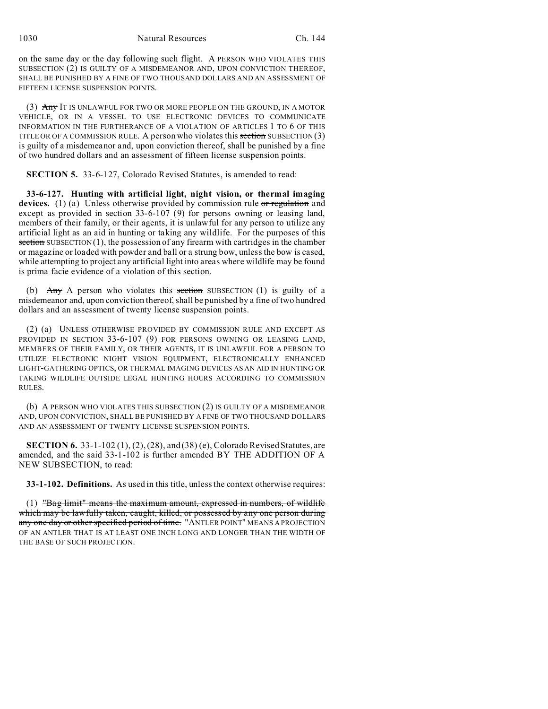1030 Natural Resources Ch. 144

on the same day or the day following such flight. A PERSON WHO VIOLATES THIS SUBSECTION (2) IS GUILTY OF A MISDEMEANOR AND, UPON CONVICTION THEREOF, SHALL BE PUNISHED BY A FINE OF TWO THOUSAND DOLLARS AND AN ASSESSMENT OF FIFTEEN LICENSE SUSPENSION POINTS.

(3) Any IT IS UNLAWFUL FOR TWO OR MORE PEOPLE ON THE GROUND, IN A MOTOR VEHICLE, OR IN A VESSEL TO USE ELECTRONIC DEVICES TO COMMUNICATE INFORMATION IN THE FURTHERANCE OF A VIOLATION OF ARTICLES 1 TO 6 OF THIS TITLE OR OF A COMMISSION RULE. A person who violates this section SUBSECTION  $(3)$ is guilty of a misdemeanor and, upon conviction thereof, shall be punished by a fine of two hundred dollars and an assessment of fifteen license suspension points.

**SECTION 5.** 33-6-127, Colorado Revised Statutes, is amended to read:

**33-6-127. Hunting with artificial light, night vision, or thermal imaging** devices. (1) (a) Unless otherwise provided by commission rule or regulation and except as provided in section 33-6-107 (9) for persons owning or leasing land, members of their family, or their agents, it is unlawful for any person to utilize any artificial light as an aid in hunting or taking any wildlife. For the purposes of this section SUBSECTION (1), the possession of any firearm with cartridges in the chamber or magazine or loaded with powder and ball or a strung bow, unless the bow is cased, while attempting to project any artificial light into areas where wildlife may be found is prima facie evidence of a violation of this section.

(b) Any A person who violates this section SUBSECTION (1) is guilty of a misdemeanor and, upon conviction thereof, shall be punished by a fine of two hundred dollars and an assessment of twenty license suspension points.

(2) (a) UNLESS OTHERWISE PROVIDED BY COMMISSION RULE AND EXCEPT AS PROVIDED IN SECTION 33-6-107 (9) FOR PERSONS OWNING OR LEASING LAND, MEMBERS OF THEIR FAMILY, OR THEIR AGENTS, IT IS UNLAWFUL FOR A PERSON TO UTILIZE ELECTRONIC NIGHT VISION EQUIPMENT, ELECTRONICALLY ENHANCED LIGHT-GATHERING OPTICS, OR THERMAL IMAGING DEVICES AS AN AID IN HUNTING OR TAKING WILDLIFE OUTSIDE LEGAL HUNTING HOURS ACCORDING TO COMMISSION RULES.

(b) A PERSON WHO VIOLATES THIS SUBSECTION (2) IS GUILTY OF A MISDEMEANOR AND, UPON CONVICTION, SHALL BE PUNISHED BY A FINE OF TWO THOUSAND DOLLARS AND AN ASSESSMENT OF TWENTY LICENSE SUSPENSION POINTS.

**SECTION 6.** 33-1-102 (1), (2), (28), and (38) (e), Colorado Revised Statutes, are amended, and the said 33-1-102 is further amended BY THE ADDITION OF A NEW SUBSECTION, to read:

**33-1-102. Definitions.** As used in this title, unless the context otherwise requires:

(1) "Bag limit" means the maximum amount, expressed in numbers, of wildlife which may be lawfully taken, caught, killed, or possessed by any one person during any one day or other specified period of time. "ANTLER POINT" MEANS A PROJECTION OF AN ANTLER THAT IS AT LEAST ONE INCH LONG AND LONGER THAN THE WIDTH OF THE BASE OF SUCH PROJECTION.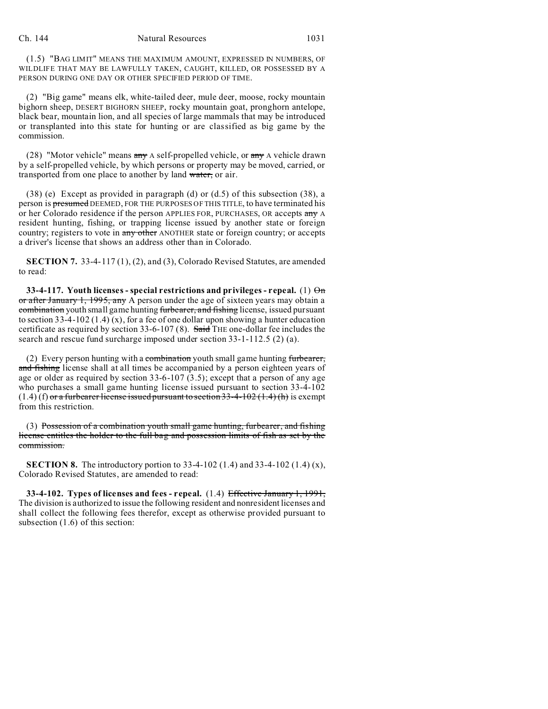(1.5) "BAG LIMIT" MEANS THE MAXIMUM AMOUNT, EXPRESSED IN NUMBERS, OF WILDLIFE THAT MAY BE LAWFULLY TAKEN, CAUGHT, KILLED, OR POSSESSED BY A PERSON DURING ONE DAY OR OTHER SPECIFIED PERIOD OF TIME.

(2) "Big game" means elk, white-tailed deer, mule deer, moose, rocky mountain bighorn sheep, DESERT BIGHORN SHEEP, rocky mountain goat, pronghorn antelope, black bear, mountain lion, and all species of large mammals that may be introduced or transplanted into this state for hunting or are classified as big game by the commission.

(28) "Motor vehicle" means  $\frac{day}{dx}$  A self-propelled vehicle, or  $\frac{day}{dx}$  A vehicle drawn by a self-propelled vehicle, by which persons or property may be moved, carried, or transported from one place to another by land water, or air.

(38) (e) Except as provided in paragraph (d) or (d.5) of this subsection (38), a person is presumed DEEMED, FOR THE PURPOSES OF THIS TITLE, to have terminated his or her Colorado residence if the person APPLIES FOR, PURCHASES, OR accepts any A resident hunting, fishing, or trapping license issued by another state or foreign country; registers to vote in any other ANOTHER state or foreign country; or accepts a driver's license that shows an address other than in Colorado.

**SECTION 7.** 33-4-117 (1), (2), and (3), Colorado Revised Statutes, are amended to read:

**33-4-117.** Youth licenses - special restrictions and privileges - repeal. (1)  $\Theta$ m or after January 1, 1995, any A person under the age of sixteen years may obtain a combination youth small game hunting furbearer, and fishing license, issued pursuant to section 33-4-102 (1.4) (x), for a fee of one dollar upon showing a hunter education certificate as required by section 33-6-107 (8). Said THE one-dollar fee includes the search and rescue fund surcharge imposed under section 33-1-112.5 (2) (a).

(2) Every person hunting with a combination youth small game hunting furbearer, and fishing license shall at all times be accompanied by a person eighteen years of age or older as required by section 33-6-107 (3.5); except that a person of any age who purchases a small game hunting license issued pursuant to section 33-4-102  $(1.4)$  (f) or a furbearer license issued pursuant to section 33-4-102 (1.4) (h) is exempt from this restriction.

(3) Possession of a combination youth small game hunting, furbearer, and fishing license entitles the holder to the full bag and possession limits of fish as set by the commission.

**SECTION 8.** The introductory portion to 33-4-102 (1.4) and 33-4-102 (1.4) (x), Colorado Revised Statutes, are amended to read:

**33-4-102. Types of licenses and fees - repeal.** (1.4) Effective January 1, 1991, The division is authorized to issue the following resident and nonresident licenses and shall collect the following fees therefor, except as otherwise provided pursuant to subsection (1.6) of this section: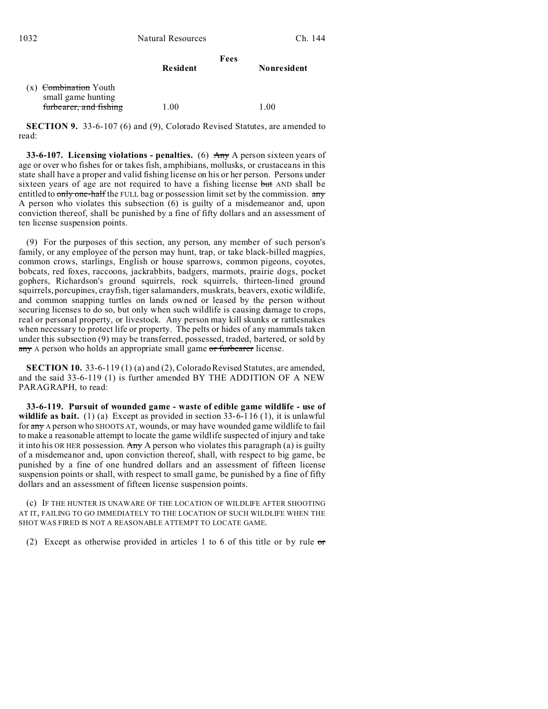|                                               | Fees            |             |
|-----------------------------------------------|-----------------|-------------|
|                                               | <b>Resident</b> | Nonresident |
| $(x)$ Combination Youth<br>small game hunting |                 |             |
| furbearer, and fishing                        | 1.00            | 1.00        |

**SECTION 9.** 33-6-107 (6) and (9), Colorado Revised Statutes, are amended to read:

**33-6-107. Licensing violations - penalties.** (6) Any A person sixteen years of age or over who fishes for or takes fish, amphibians, mollusks, or crustaceans in this state shall have a proper and valid fishing license on his or her person. Persons under sixteen years of age are not required to have a fishing license but AND shall be entitled to only one-half the FULL bag or possession limit set by the commission. any A person who violates this subsection (6) is guilty of a misdemeanor and, upon conviction thereof, shall be punished by a fine of fifty dollars and an assessment of ten license suspension points.

(9) For the purposes of this section, any person, any member of such person's family, or any employee of the person may hunt, trap, or take black-billed magpies, common crows, starlings, English or house sparrows, common pigeons, coyotes, bobcats, red foxes, raccoons, jackrabbits, badgers, marmots, prairie dogs, pocket gophers, Richardson's ground squirrels, rock squirrels, thirteen-lined ground squirrels, porcupines, crayfish, tiger salamanders, muskrats, beavers, exotic wildlife, and common snapping turtles on lands owned or leased by the person without securing licenses to do so, but only when such wildlife is causing damage to crops, real or personal property, or livestock. Any person may kill skunks or rattlesnakes when necessary to protect life or property. The pelts or hides of any mammals taken under this subsection (9) may be transferred, possessed, traded, bartered, or sold by any A person who holds an appropriate small game or furbearer license.

**SECTION 10.** 33-6-119 (1) (a) and (2), Colorado Revised Statutes, are amended, and the said 33-6-119 (1) is further amended BY THE ADDITION OF A NEW PARAGRAPH, to read:

**33-6-119. Pursuit of wounded game - waste of edible game wildlife - use of** wildlife as bait. (1) (a) Except as provided in section 33-6-116 (1), it is unlawful for any A person who SHOOTS AT, wounds, or may have wounded game wildlife to fail to make a reasonable attempt to locate the game wildlife suspected of injury and take it into his OR HER possession. Any A person who violates this paragraph (a) is guilty of a misdemeanor and, upon conviction thereof, shall, with respect to big game, be punished by a fine of one hundred dollars and an assessment of fifteen license suspension points or shall, with respect to small game, be punished by a fine of fifty dollars and an assessment of fifteen license suspension points.

(c) IF THE HUNTER IS UNAWARE OF THE LOCATION OF WILDLIFE AFTER SHOOTING AT IT, FAILING TO GO IMMEDIATELY TO THE LOCATION OF SUCH WILDLIFE WHEN THE SHOT WAS FIRED IS NOT A REASONABLE ATTEMPT TO LOCATE GAME.

(2) Except as otherwise provided in articles 1 to 6 of this title or by rule  $\sigma$